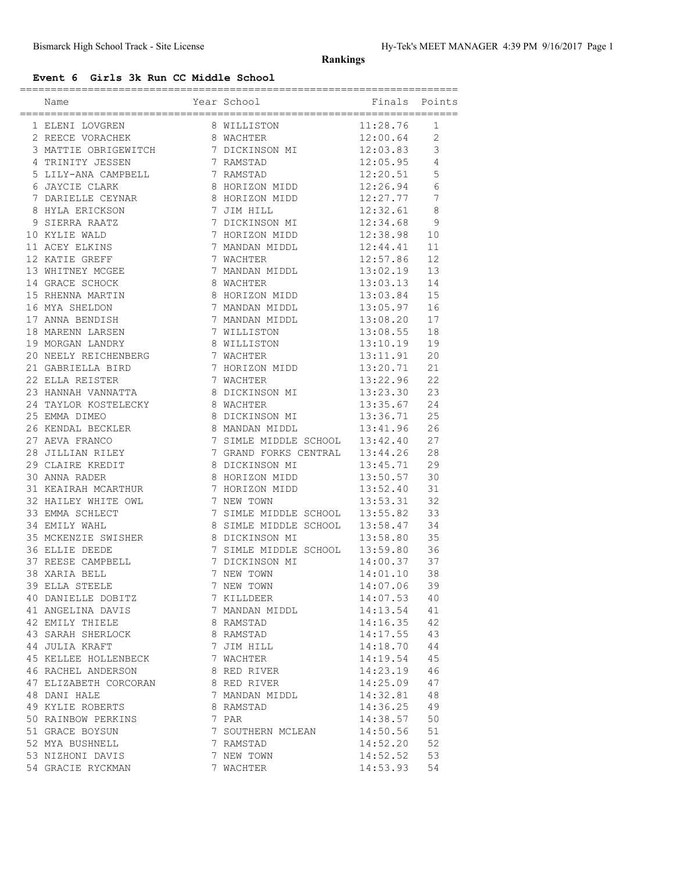## **Rankings**

## **Event 6 Girls 3k Run CC Middle School**

| Name                                                                                                                        | Year School                                                                      | Finals        | Points          |
|-----------------------------------------------------------------------------------------------------------------------------|----------------------------------------------------------------------------------|---------------|-----------------|
|                                                                                                                             |                                                                                  |               | 1               |
|                                                                                                                             |                                                                                  |               | $\overline{2}$  |
| 1 ELENI LOVGREN 8 WILLISTON 11:28.76<br>2 REECE VORACHEK 8 WACHTER 12:00.64<br>3 MATTIE OBRIGEWITCH 7 DICKINSON MI 12:03.83 |                                                                                  |               | 3               |
| 4 TRINITY JESSEN                                                                                                            | 7 RAMSTAD                                                                        | 12:05.95      | $\overline{4}$  |
| 5 LILY-ANA CAMPBELL 7 RAMSTAD                                                                                               |                                                                                  | 12:20.51      | 5               |
| 6 JAYCIE CLARK                                                                                                              | 8 HORIZON MIDD 12:26.94                                                          |               | 6               |
| 7 DARIELLE CEYNAR                                                                                                           | 8 HORIZON MIDD 12:27.77                                                          |               | $7\phantom{.0}$ |
|                                                                                                                             | 7 JIM HILL                                                                       | 12:32.61      | $\,8\,$         |
| 8 HYLA ERICKSON<br>9 SIERRA RAATZ                                                                                           | 7 DICKINSON MI<br>7 DICKINSON MI                                                 | 12:34.68      | 9               |
| 10 KYLIE WALD                                                                                                               | 7 HORIZON MIDD                                                                   | 12:38.98      | 10              |
| 11 ACEY ELKINS                                                                                                              | 7 MANDAN MIDDL 12:44.41                                                          |               | 11              |
| 12 KATIE GREFF                                                                                                              | 7 WACHTER                                                                        | 12:57.86      | 12              |
| 13 WHITNEY MCGEE                                                                                                            | 7 MANDAN MIDDL 13:02.19<br>8 WACHTER 13:03.13<br>8 HORIZON MIDD 13:03.84         |               | 13              |
| 14 GRACE SCHOCK                                                                                                             |                                                                                  |               | 14              |
| 15 RHENNA MARTIN                                                                                                            |                                                                                  | $13:03.84$ 15 |                 |
| 16 MYA SHELDON                                                                                                              | 7 MANDAN MIDDL                                                                   | 13:05.97      | 16              |
| 17 ANNA BENDISH                                                                                                             | 7 MANDAN MIDDL                                                                   | 13:08.20      | 17              |
| 18 MARENN LARSEN                                                                                                            | 7 WILLISTON                                                                      | 13:08.55      | 18              |
| 19 MORGAN LANDRY                                                                                                            | 8 WILLISTON                                                                      | 13:10.19      | 19              |
| 20 NEELY REICHENBERG<br>21 GABRIELLA BIRD<br>22 ELLA REISTER                                                                |                                                                                  | 13:11.91      | 20              |
|                                                                                                                             | 7 WACHTER<br>7 HORIZON MIDD                                                      | 13:20.71      | 21              |
|                                                                                                                             | 7 WACHTER                                                                        | 13:22.96      | 22              |
| 23 HANNAH VANNATTA                                                                                                          |                                                                                  |               | 23              |
| 24 TAYLOR KOSTELECKY 6 WACHTER                                                                                              |                                                                                  | 13:35.67      | 24              |
| 25 EMMA DIMEO                                                                                                               | 8 DICKINSON MI 13:36.71                                                          |               | 25              |
|                                                                                                                             | 8 MANDAN MIDDL                                                                   | 13:41.96      | 26              |
| 26 KENDAL BECKLER<br>27 AEVA FRANCO                                                                                         | 7 SIMLE MIDDLE SCHOOL 13:42.40                                                   |               | 27              |
| 28 JILLIAN RILEY                                                                                                            | 7 GRAND FORKS CENTRAL 13:44.26                                                   |               | 28              |
| 29 CLAIRE KREDIT                                                                                                            | 8 DICKINSON MI 13:45.71                                                          |               | 29              |
| 30 ANNA RADER                                                                                                               | 8 HORIZON MIDD 13:50.57                                                          |               | 30              |
| 31 KEAIRAH MCARTHUR                                                                                                         | 7 HORIZON MIDD 13:52.40<br>7 NEW TOWN 13:53.31<br>7 SIMLE MIDDLE SCHOOL 13:55.82 |               | 31              |
| 32 HAILEY WHITE OWL<br>33 EMMA SCHLECT<br>34 EMILY WAHL                                                                     |                                                                                  |               | 32              |
|                                                                                                                             |                                                                                  |               | 33              |
|                                                                                                                             | 8 SIMLE MIDDLE SCHOOL 13:58.47                                                   |               | 34              |
| 35 MCKENZIE SWISHER 8 DICKINSON MI                                                                                          |                                                                                  | 13:58.80      | 35              |
| 36 ELLIE DEEDE                                                                                                              | 7 SIMLE MIDDLE SCHOOL 13:59.80                                                   |               | 36              |
| 37 REESE CAMPBELL<br>38 XARIA BELL                                                                                          |                                                                                  |               | 37              |
|                                                                                                                             |                                                                                  |               | 38              |
| 39 ELLA STEELE                                                                                                              | 7 NEW TOWN                                                                       | 14:07.06      | 39              |
| 40 DANIELLE DOBITZ                                                                                                          | 7 KILLDEER                                                                       | 14:07.53      | 40              |
| 41 ANGELINA DAVIS                                                                                                           | 7 MANDAN MIDDL                                                                   | 14:13.54      | 41              |
| 42 EMILY THIELE                                                                                                             | 8 RAMSTAD                                                                        | 14:16.35      | 42              |
| 43 SARAH SHERLOCK                                                                                                           | 8 RAMSTAD                                                                        | 14:17.55      | 43              |
| 44 JULIA KRAFT                                                                                                              | 7 JIM HILL                                                                       | 14:18.70      | 44              |
| 45 KELLEE HOLLENBECK                                                                                                        | 7 WACHTER                                                                        | 14:19.54      | 45              |
| 46 RACHEL ANDERSON                                                                                                          | 8 RED RIVER                                                                      | 14:23.19      | 46              |
| 47 ELIZABETH CORCORAN                                                                                                       | 8 RED RIVER                                                                      | 14:25.09      | 47              |
| 48 DANI HALE                                                                                                                | 7 MANDAN MIDDL                                                                   | 14:32.81      | 48              |
| 49 KYLIE ROBERTS                                                                                                            | 8 RAMSTAD                                                                        | 14:36.25      | 49              |
| 50 RAINBOW PERKINS                                                                                                          | 7 PAR                                                                            | 14:38.57      | 50              |
| 51 GRACE BOYSUN                                                                                                             | 7 SOUTHERN MCLEAN                                                                | 14:50.56      | 51              |
| 52 MYA BUSHNELL                                                                                                             | 7 RAMSTAD                                                                        | 14:52.20      | 52              |
| 53 NIZHONI DAVIS                                                                                                            | 7 NEW TOWN                                                                       | 14:52.52      | 53              |
| 54 GRACIE RYCKMAN                                                                                                           | 7 WACHTER                                                                        | 14:53.93      | 54              |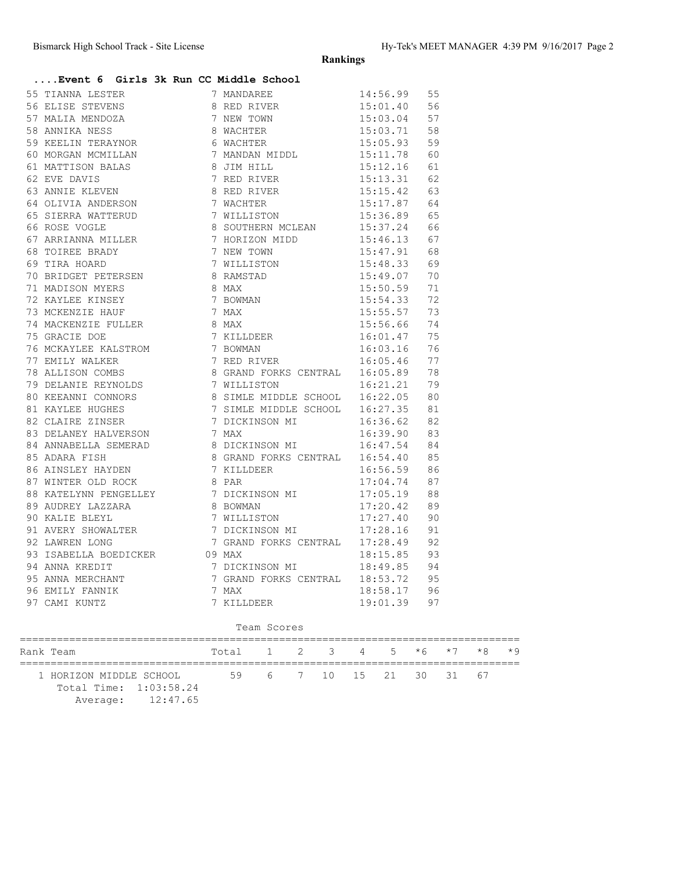**....Event 6 Girls 3k Run CC Middle School**

**Rankings**

| 55 TIANNA LESTER 7 MANDAREE 14:56.99 55<br>56 ELISE STEVENS 8 RED RIVER 15:01.40 56<br>57 MALIA MENDOZA 7 NEW TOWN 15:03.04 57<br>58 ANNIKA NESS 8 WACHTER 15:03.71 58<br>59 KEELIN TERAYNOR 6 WACHTER 15:05.93 59<br>60 MORGAN MCMILLAN |  |  |
|------------------------------------------------------------------------------------------------------------------------------------------------------------------------------------------------------------------------------------------|--|--|
|                                                                                                                                                                                                                                          |  |  |
|                                                                                                                                                                                                                                          |  |  |
|                                                                                                                                                                                                                                          |  |  |
|                                                                                                                                                                                                                                          |  |  |
|                                                                                                                                                                                                                                          |  |  |
|                                                                                                                                                                                                                                          |  |  |
|                                                                                                                                                                                                                                          |  |  |
|                                                                                                                                                                                                                                          |  |  |
|                                                                                                                                                                                                                                          |  |  |
|                                                                                                                                                                                                                                          |  |  |
|                                                                                                                                                                                                                                          |  |  |
|                                                                                                                                                                                                                                          |  |  |
|                                                                                                                                                                                                                                          |  |  |
|                                                                                                                                                                                                                                          |  |  |
|                                                                                                                                                                                                                                          |  |  |
| 64 ANNIE KLEVER (1972)<br>64 AOLIVIA ANDERSON 8 RED RIVER (1971-29 64<br>65 ANNIE KLEVER 8 SICREM MILLESTON 15:17.87 64<br>65 SIERRA WATTERUD 7 WILLISTON 15:37.24 66<br>67 ARKIANNA MILLER 8 BOUTHERN MOLEAN 15:36.89 65<br>67 ARKIANN  |  |  |
|                                                                                                                                                                                                                                          |  |  |
|                                                                                                                                                                                                                                          |  |  |
|                                                                                                                                                                                                                                          |  |  |
|                                                                                                                                                                                                                                          |  |  |
|                                                                                                                                                                                                                                          |  |  |
|                                                                                                                                                                                                                                          |  |  |
|                                                                                                                                                                                                                                          |  |  |
|                                                                                                                                                                                                                                          |  |  |
|                                                                                                                                                                                                                                          |  |  |
|                                                                                                                                                                                                                                          |  |  |
|                                                                                                                                                                                                                                          |  |  |
|                                                                                                                                                                                                                                          |  |  |
|                                                                                                                                                                                                                                          |  |  |
|                                                                                                                                                                                                                                          |  |  |
|                                                                                                                                                                                                                                          |  |  |
|                                                                                                                                                                                                                                          |  |  |
|                                                                                                                                                                                                                                          |  |  |
|                                                                                                                                                                                                                                          |  |  |
|                                                                                                                                                                                                                                          |  |  |
| 87 WINTER OLD ROCK CONTRAL CHECK CONTRAL 17:05.19 88<br>89 AUDREY LAZZARA 8 BOWMAN 17:05.19 88<br>90 KALIE BLEYL 7 WILLISTON 17:27.40 90<br>91 AVERY SHOWALTER 7 DICKINSON MI 17:28.16 91<br>92 LAWREN LONG 7 GRAND FORKS CENTRAL 17:2   |  |  |
|                                                                                                                                                                                                                                          |  |  |
| 93 ISABELLA BOEDICKER<br>93 ISABELLA BOEDICKER<br>94 ANNA KREDIT 7 DICKINSON MI 18:49.85 94<br>95 ANNA MERCHANT 7 GRAND FORKS CENTRAL 18:53.72 95<br>96 EMILY FANNIK 7 MAX 18:58.17 96<br>97 CAMI KUNTZ 7 KILLDEER 19:01.39 97           |  |  |
|                                                                                                                                                                                                                                          |  |  |
|                                                                                                                                                                                                                                          |  |  |
|                                                                                                                                                                                                                                          |  |  |
|                                                                                                                                                                                                                                          |  |  |

## Team Scores

|  | Rank Team                                                              | Total |                          |  |  |  |  | $1 \t2 \t3 \t4 \t5 \t\star 6 \t\star 7 \t\star 8 \t\star 9$ |  |  |
|--|------------------------------------------------------------------------|-------|--------------------------|--|--|--|--|-------------------------------------------------------------|--|--|
|  | 1 HORIZON MIDDLE SCHOOL<br>Total Time: 1:03:58.24<br>Average: 12:47.65 |       | 59 6 7 10 15 21 30 31 67 |  |  |  |  |                                                             |  |  |